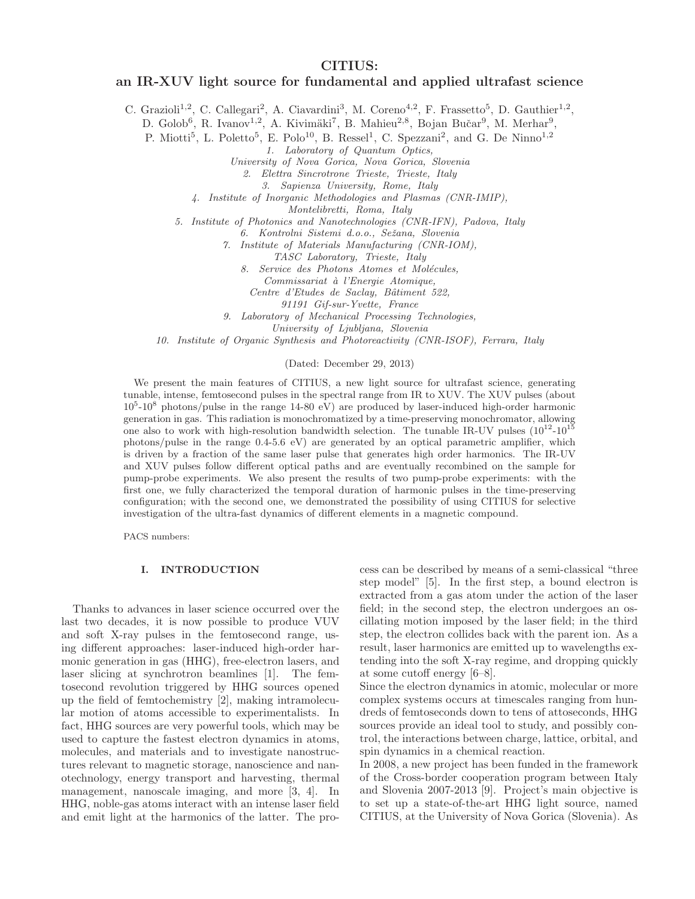# CITIUS:

# an IR-XUV light source for fundamental and applied ultrafast science

C. Grazioli<sup>1,2</sup>, C. Callegari<sup>2</sup>, A. Ciavardini<sup>3</sup>, M. Coreno<sup>4,2</sup>, F. Frassetto<sup>5</sup>, D. Gauthier<sup>1,2</sup>,

D. Golob<sup>6</sup>, R. Ivanov<sup>1,2</sup>, A. Kivimäki<sup>7</sup>, B. Mahieu<sup>2,8</sup>, Bojan Bučar<sup>9</sup>, M. Merhar<sup>9</sup>,

P. Miotti<sup>5</sup>, L. Poletto<sup>5</sup>, E. Polo<sup>10</sup>, B. Ressel<sup>1</sup>, C. Spezzani<sup>2</sup>, and G. De Ninno<sup>1,2</sup>

1. Laboratory of Quantum Optics,

University of Nova Gorica, Nova Gorica, Slovenia

2. Elettra Sincrotrone Trieste, Trieste, Italy

3. Sapienza University, Rome, Italy

4. Institute of Inorganic Methodologies and Plasmas (CNR-IMIP),

Montelibretti, Roma, Italy

5. Institute of Photonics and Nanotechnologies (CNR-IFN), Padova, Italy

6. Kontrolni Sistemi d.o.o., Seˇzana, Slovenia

7. Institute of Materials Manufacturing (CNR-IOM),

TASC Laboratory, Trieste, Italy

8. Service des Photons Atomes et Molécules,

Commissariat à l'Energie Atomique,

Centre d'Etudes de Saclay, Bâtiment 522,

91191 Gif-sur-Yvette, France

9. Laboratory of Mechanical Processing Technologies,

University of Ljubljana, Slovenia

10. Institute of Organic Synthesis and Photoreactivity (CNR-ISOF), Ferrara, Italy

(Dated: December 29, 2013)

We present the main features of CITIUS, a new light source for ultrafast science, generating tunable, intense, femtosecond pulses in the spectral range from IR to XUV. The XUV pulses (about  $10^5$ - $10^8$  photons/pulse in the range 14-80 eV) are produced by laser-induced high-order harmonic generation in gas. This radiation is monochromatized by a time-preserving monochromator, allowing one also to work with high-resolution bandwidth selection. The tunable IR-UV pulses  $(10^{12}-10^{15})$ photons/pulse in the range 0.4-5.6 eV) are generated by an optical parametric amplifier, which is driven by a fraction of the same laser pulse that generates high order harmonics. The IR-UV and XUV pulses follow different optical paths and are eventually recombined on the sample for pump-probe experiments. We also present the results of two pump-probe experiments: with the first one, we fully characterized the temporal duration of harmonic pulses in the time-preserving configuration; with the second one, we demonstrated the possibility of using CITIUS for selective investigation of the ultra-fast dynamics of different elements in a magnetic compound.

PACS numbers:

# I. INTRODUCTION

Thanks to advances in laser science occurred over the last two decades, it is now possible to produce VUV and soft X-ray pulses in the femtosecond range, using different approaches: laser-induced high-order harmonic generation in gas (HHG), free-electron lasers, and laser slicing at synchrotron beamlines [1]. The femtosecond revolution triggered by HHG sources opened up the field of femtochemistry [2], making intramolecular motion of atoms accessible to experimentalists. In fact, HHG sources are very powerful tools, which may be used to capture the fastest electron dynamics in atoms, molecules, and materials and to investigate nanostructures relevant to magnetic storage, nanoscience and nanotechnology, energy transport and harvesting, thermal management, nanoscale imaging, and more [3, 4]. In HHG, noble-gas atoms interact with an intense laser field and emit light at the harmonics of the latter. The pro-

cess can be described by means of a semi-classical "three step model" [5]. In the first step, a bound electron is extracted from a gas atom under the action of the laser field; in the second step, the electron undergoes an oscillating motion imposed by the laser field; in the third step, the electron collides back with the parent ion. As a result, laser harmonics are emitted up to wavelengths extending into the soft X-ray regime, and dropping quickly at some cutoff energy [6–8].

Since the electron dynamics in atomic, molecular or more complex systems occurs at timescales ranging from hundreds of femtoseconds down to tens of attoseconds, HHG sources provide an ideal tool to study, and possibly control, the interactions between charge, lattice, orbital, and spin dynamics in a chemical reaction.

In 2008, a new project has been funded in the framework of the Cross-border cooperation program between Italy and Slovenia 2007-2013 [9]. Project's main objective is to set up a state-of-the-art HHG light source, named CITIUS, at the University of Nova Gorica (Slovenia). As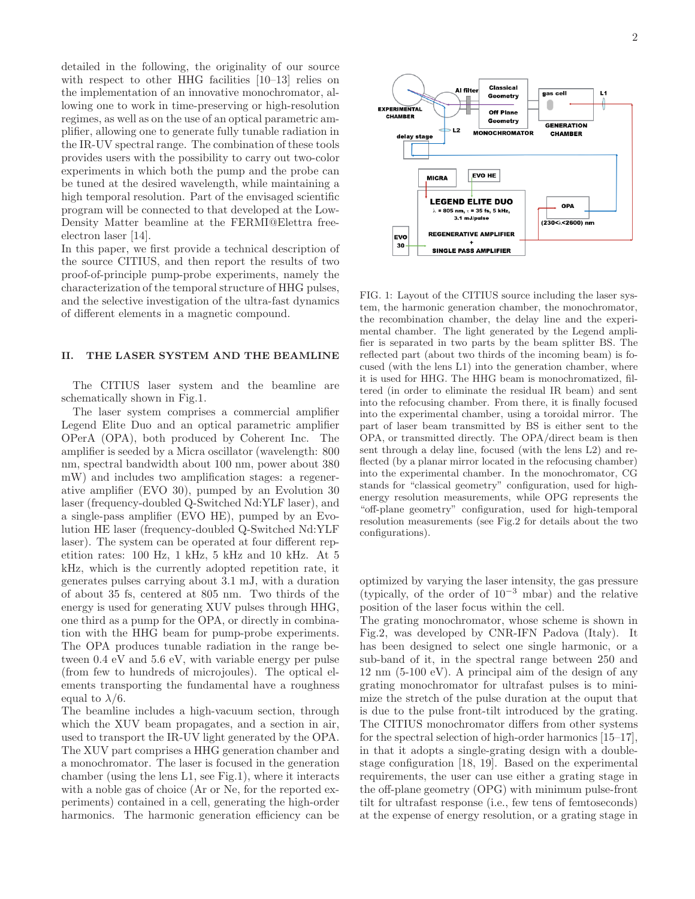detailed in the following, the originality of our source with respect to other HHG facilities  $[10-13]$  relies on the implementation of an innovative monochromator, allowing one to work in time-preserving or high-resolution regimes, as well as on the use of an optical parametric amplifier, allowing one to generate fully tunable radiation in the IR-UV spectral range. The combination of these tools provides users with the possibility to carry out two-color experiments in which both the pump and the probe can be tuned at the desired wavelength, while maintaining a high temporal resolution. Part of the envisaged scientific program will be connected to that developed at the Low-Density Matter beamline at the FERMI@Elettra freeelectron laser [14].

In this paper, we first provide a technical description of the source CITIUS, and then report the results of two proof-of-principle pump-probe experiments, namely the characterization of the temporal structure of HHG pulses, and the selective investigation of the ultra-fast dynamics of different elements in a magnetic compound.

## II. THE LASER SYSTEM AND THE BEAMLINE

The CITIUS laser system and the beamline are schematically shown in Fig.1.

The laser system comprises a commercial amplifier Legend Elite Duo and an optical parametric amplifier OPerA (OPA), both produced by Coherent Inc. The amplifier is seeded by a Micra oscillator (wavelength: 800 nm, spectral bandwidth about 100 nm, power about 380 mW) and includes two amplification stages: a regenerative amplifier (EVO 30), pumped by an Evolution 30 laser (frequency-doubled Q-Switched Nd:YLF laser), and a single-pass amplifier (EVO HE), pumped by an Evolution HE laser (frequency-doubled Q-Switched Nd:YLF laser). The system can be operated at four different repetition rates: 100 Hz, 1 kHz, 5 kHz and 10 kHz. At 5 kHz, which is the currently adopted repetition rate, it generates pulses carrying about 3.1 mJ, with a duration of about 35 fs, centered at 805 nm. Two thirds of the energy is used for generating XUV pulses through HHG, one third as a pump for the OPA, or directly in combination with the HHG beam for pump-probe experiments. The OPA produces tunable radiation in the range between 0.4 eV and 5.6 eV, with variable energy per pulse (from few to hundreds of microjoules). The optical elements transporting the fundamental have a roughness equal to  $\lambda/6$ .

The beamline includes a high-vacuum section, through which the XUV beam propagates, and a section in air, used to transport the IR-UV light generated by the OPA. The XUV part comprises a HHG generation chamber and a monochromator. The laser is focused in the generation chamber (using the lens L1, see Fig.1), where it interacts with a noble gas of choice (Ar or Ne, for the reported experiments) contained in a cell, generating the high-order harmonics. The harmonic generation efficiency can be



FIG. 1: Layout of the CITIUS source including the laser system, the harmonic generation chamber, the monochromator, the recombination chamber, the delay line and the experimental chamber. The light generated by the Legend amplifier is separated in two parts by the beam splitter BS. The reflected part (about two thirds of the incoming beam) is focused (with the lens L1) into the generation chamber, where it is used for HHG. The HHG beam is monochromatized, filtered (in order to eliminate the residual IR beam) and sent into the refocusing chamber. From there, it is finally focused into the experimental chamber, using a toroidal mirror. The part of laser beam transmitted by BS is either sent to the OPA, or transmitted directly. The OPA/direct beam is then sent through a delay line, focused (with the lens L2) and reflected (by a planar mirror located in the refocusing chamber) into the experimental chamber. In the monochromator, CG stands for "classical geometry" configuration, used for highenergy resolution measurements, while OPG represents the "off-plane geometry" configuration, used for high-temporal resolution measurements (see Fig.2 for details about the two configurations).

optimized by varying the laser intensity, the gas pressure (typically, of the order of  $10^{-3}$  mbar) and the relative position of the laser focus within the cell.

The grating monochromator, whose scheme is shown in Fig.2, was developed by CNR-IFN Padova (Italy). It has been designed to select one single harmonic, or a sub-band of it, in the spectral range between 250 and 12 nm (5-100 eV). A principal aim of the design of any grating monochromator for ultrafast pulses is to minimize the stretch of the pulse duration at the ouput that is due to the pulse front-tilt introduced by the grating. The CITIUS monochromator differs from other systems for the spectral selection of high-order harmonics [15–17], in that it adopts a single-grating design with a doublestage configuration [18, 19]. Based on the experimental requirements, the user can use either a grating stage in the off-plane geometry (OPG) with minimum pulse-front tilt for ultrafast response (i.e., few tens of femtoseconds) at the expense of energy resolution, or a grating stage in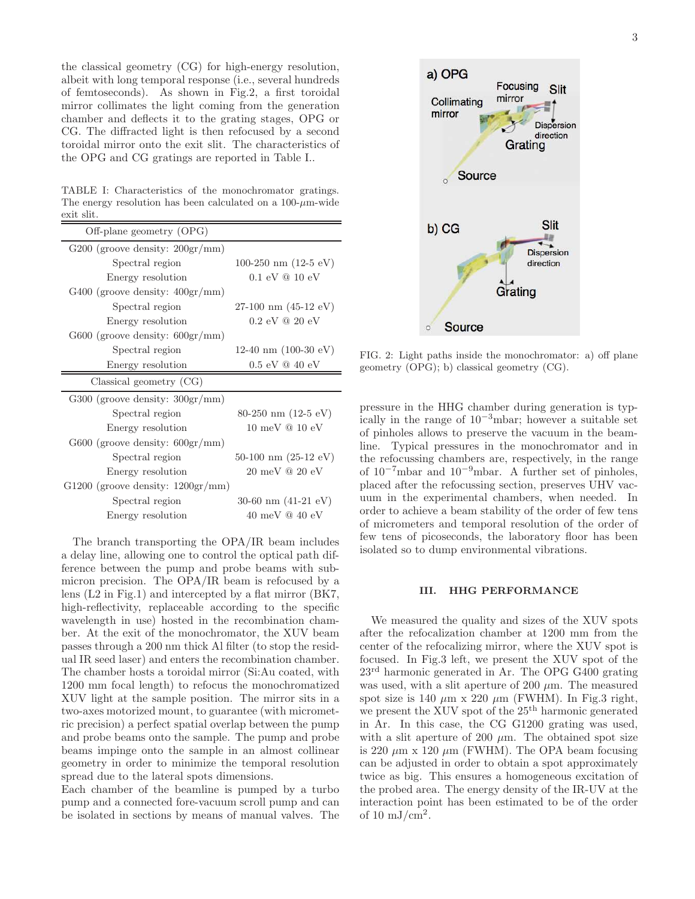the classical geometry (CG) for high-energy resolution, albeit with long temporal response (i.e., several hundreds of femtoseconds). As shown in Fig.2, a first toroidal mirror collimates the light coming from the generation chamber and deflects it to the grating stages, OPG or CG. The diffracted light is then refocused by a second toroidal mirror onto the exit slit. The characteristics of the OPG and CG gratings are reported in Table I..

TABLE I: Characteristics of the monochromator gratings. The energy resolution has been calculated on a  $100-\mu m$ -wide exit slit.

| Off-plane geometry (OPG)                      |                                                |  |  |  |
|-----------------------------------------------|------------------------------------------------|--|--|--|
| G200 (groove density: $200\text{gr/mm}$ )     |                                                |  |  |  |
| Spectral region                               | 100-250 nm $(12-5 \text{ eV})$                 |  |  |  |
| Energy resolution                             | $0.1 \text{ eV} \t@ 10 \text{ eV}$             |  |  |  |
| G400 (groove density: $400\text{gr/mm}$ )     |                                                |  |  |  |
| Spectral region                               | $27-100$ nm $(45-12$ eV)                       |  |  |  |
| Energy resolution                             | $0.2 \text{ eV} \text{ @ } 20 \text{ eV}$      |  |  |  |
| $G600$ (groove density: $600gr/mm$ )          |                                                |  |  |  |
| Spectral region                               | 12-40 nm $(100-30 \text{ eV})$                 |  |  |  |
| Energy resolution                             |                                                |  |  |  |
| Classical geometry (CG)                       |                                                |  |  |  |
|                                               |                                                |  |  |  |
| $G300$ (groove density: $300gr/mm$ )          |                                                |  |  |  |
| Spectral region                               | $80-250$ nm $(12-5$ eV)                        |  |  |  |
| Energy resolution                             | $10 \text{ meV} \ @ \ 10 \text{ eV}$           |  |  |  |
| $G600$ (groove density: $600gr/mm$ )          |                                                |  |  |  |
| Spectral region                               | 50-100 nm $(25-12 \text{ eV})$                 |  |  |  |
| Energy resolution                             | $20 \text{ meV} \textcircled{a} 20 \text{ eV}$ |  |  |  |
| G1200 (groove density: $1200\,\text{gr/mm}$ ) |                                                |  |  |  |
| Spectral region                               | 30-60 nm $(41-21 \text{ eV})$                  |  |  |  |

The branch transporting the OPA/IR beam includes a delay line, allowing one to control the optical path difference between the pump and probe beams with submicron precision. The OPA/IR beam is refocused by a lens (L2 in Fig.1) and intercepted by a flat mirror (BK7, high-reflectivity, replaceable according to the specific wavelength in use) hosted in the recombination chamber. At the exit of the monochromator, the XUV beam passes through a 200 nm thick Al filter (to stop the residual IR seed laser) and enters the recombination chamber. The chamber hosts a toroidal mirror (Si:Au coated, with 1200 mm focal length) to refocus the monochromatized XUV light at the sample position. The mirror sits in a two-axes motorized mount, to guarantee (with micrometric precision) a perfect spatial overlap between the pump and probe beams onto the sample. The pump and probe beams impinge onto the sample in an almost collinear geometry in order to minimize the temporal resolution spread due to the lateral spots dimensions.

Each chamber of the beamline is pumped by a turbo pump and a connected fore-vacuum scroll pump and can be isolated in sections by means of manual valves. The



FIG. 2: Light paths inside the monochromator: a) off plane geometry (OPG); b) classical geometry (CG).

pressure in the HHG chamber during generation is typically in the range of  $10^{-3}$ mbar; however a suitable set of pinholes allows to preserve the vacuum in the beamline. Typical pressures in the monochromator and in the refocussing chambers are, respectively, in the range of 10<sup>−</sup><sup>7</sup>mbar and 10<sup>−</sup><sup>9</sup>mbar. A further set of pinholes, placed after the refocussing section, preserves UHV vacuum in the experimental chambers, when needed. In order to achieve a beam stability of the order of few tens of micrometers and temporal resolution of the order of few tens of picoseconds, the laboratory floor has been isolated so to dump environmental vibrations.

# III. HHG PERFORMANCE

We measured the quality and sizes of the XUV spots after the refocalization chamber at 1200 mm from the center of the refocalizing mirror, where the XUV spot is focused. In Fig.3 left, we present the XUV spot of the 23rd harmonic generated in Ar. The OPG G400 grating was used, with a slit aperture of 200  $\mu$ m. The measured spot size is 140  $\mu$ m x 220  $\mu$ m (FWHM). In Fig.3 right, we present the XUV spot of the 25<sup>th</sup> harmonic generated in Ar. In this case, the CG G1200 grating was used, with a slit aperture of 200  $\mu$ m. The obtained spot size is 220  $\mu$ m x 120  $\mu$ m (FWHM). The OPA beam focusing can be adjusted in order to obtain a spot approximately twice as big. This ensures a homogeneous excitation of the probed area. The energy density of the IR-UV at the interaction point has been estimated to be of the order of 10  $\mathrm{mJ/cm^2}$ .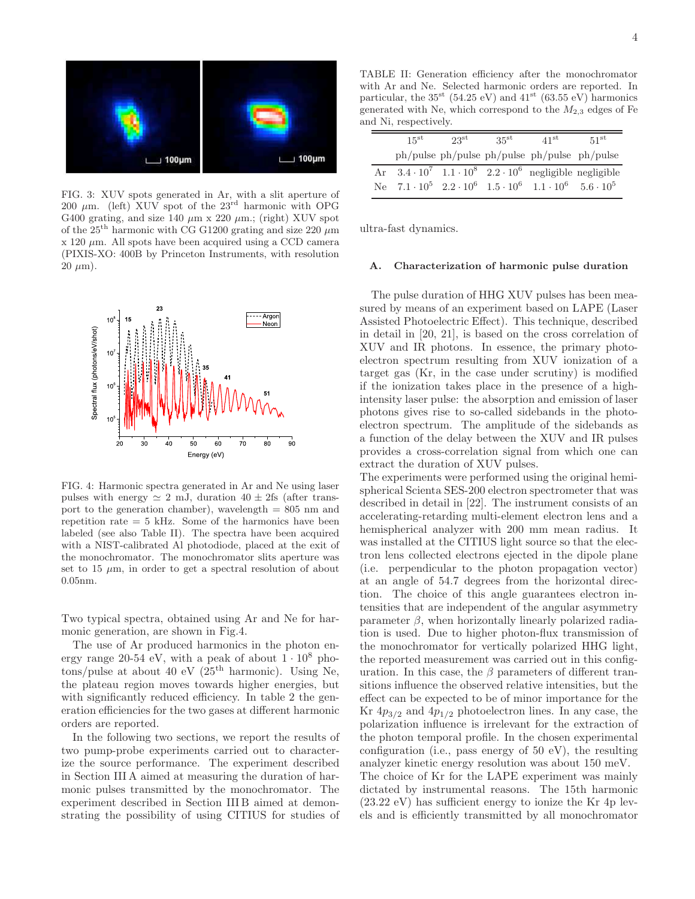

FIG. 3: XUV spots generated in Ar, with a slit aperture of 200  $\mu$ m. (left) XUV spot of the 23<sup>rd</sup> harmonic with OPG G400 grating, and size 140  $\mu$ m x 220  $\mu$ m.; (right) XUV spot of the  $25<sup>th</sup>$  harmonic with CG G1200 grating and size 220  $\mu$ m  $x$  120  $\mu$ m. All spots have been acquired using a CCD camera (PIXIS-XO: 400B by Princeton Instruments, with resolution  $20 \mu m$ ).



FIG. 4: Harmonic spectra generated in Ar and Ne using laser pulses with energy  $\simeq 2$  mJ, duration  $40 \pm 2$ fs (after transport to the generation chamber), wavelength  $= 805$  nm and repetition rate  $= 5$  kHz. Some of the harmonics have been labeled (see also Table II). The spectra have been acquired with a NIST-calibrated Al photodiode, placed at the exit of the monochromator. The monochromator slits aperture was set to  $15 \mu m$ , in order to get a spectral resolution of about 0.05nm.

Two typical spectra, obtained using Ar and Ne for harmonic generation, are shown in Fig.4.

The use of Ar produced harmonics in the photon energy range 20-54 eV, with a peak of about  $1 \cdot 10^8$  photons/pulse at about 40 eV  $(25<sup>th</sup> harmonic)$ . Using Ne, the plateau region moves towards higher energies, but with significantly reduced efficiency. In table 2 the generation efficiencies for the two gases at different harmonic orders are reported.

In the following two sections, we report the results of two pump-probe experiments carried out to characterize the source performance. The experiment described in Section III A aimed at measuring the duration of harmonic pulses transmitted by the monochromator. The experiment described in Section III B aimed at demonstrating the possibility of using CITIUS for studies of

TABLE II: Generation efficiency after the monochromator with Ar and Ne. Selected harmonic orders are reported. In particular, the  $35^{\rm st}$  (54.25 eV) and  $41^{\rm st}$  (63.55 eV) harmonics generated with Ne, which correspond to the  $M_{2,3}$  edges of Fe and Ni, respectively.

|    | $15^{st}$ | $23^{\rm st}$ | $35^{st}$ | $41^{\rm st}$                                                                           | 51 <sup>st</sup> |
|----|-----------|---------------|-----------|-----------------------------------------------------------------------------------------|------------------|
|    |           |               |           | $ph/pulse ph/pulse ph/pulse ph/pulse ph/pulse$                                          |                  |
| Ar |           |               |           | $3.4 \cdot 10^7$ $1.1 \cdot 10^8$ $2.2 \cdot 10^6$ negligible negligible                |                  |
|    |           |               |           | Ne $7.1 \cdot 10^5$ $2.2 \cdot 10^6$ $1.5 \cdot 10^6$ $1.1 \cdot 10^6$ $5.6 \cdot 10^5$ |                  |

ultra-fast dynamics.

## A. Characterization of harmonic pulse duration

The pulse duration of HHG XUV pulses has been measured by means of an experiment based on LAPE (Laser Assisted Photoelectric Effect). This technique, described in detail in [20, 21], is based on the cross correlation of XUV and IR photons. In essence, the primary photoelectron spectrum resulting from XUV ionization of a target gas (Kr, in the case under scrutiny) is modified if the ionization takes place in the presence of a highintensity laser pulse: the absorption and emission of laser photons gives rise to so-called sidebands in the photoelectron spectrum. The amplitude of the sidebands as a function of the delay between the XUV and IR pulses provides a cross-correlation signal from which one can extract the duration of XUV pulses.

The experiments were performed using the original hemispherical Scienta SES-200 electron spectrometer that was described in detail in [22]. The instrument consists of an accelerating-retarding multi-element electron lens and a hemispherical analyzer with 200 mm mean radius. It was installed at the CITIUS light source so that the electron lens collected electrons ejected in the dipole plane (i.e. perpendicular to the photon propagation vector) at an angle of 54.7 degrees from the horizontal direction. The choice of this angle guarantees electron intensities that are independent of the angular asymmetry parameter  $\beta$ , when horizontally linearly polarized radiation is used. Due to higher photon-flux transmission of the monochromator for vertically polarized HHG light, the reported measurement was carried out in this configuration. In this case, the  $\beta$  parameters of different transitions influence the observed relative intensities, but the effect can be expected to be of minor importance for the Kr  $4p_{3/2}$  and  $4p_{1/2}$  photoelectron lines. In any case, the polarization influence is irrelevant for the extraction of the photon temporal profile. In the chosen experimental configuration (i.e., pass energy of 50 eV), the resulting analyzer kinetic energy resolution was about 150 meV. The choice of Kr for the LAPE experiment was mainly dictated by instrumental reasons. The 15th harmonic (23.22 eV) has sufficient energy to ionize the Kr 4p levels and is efficiently transmitted by all monochromator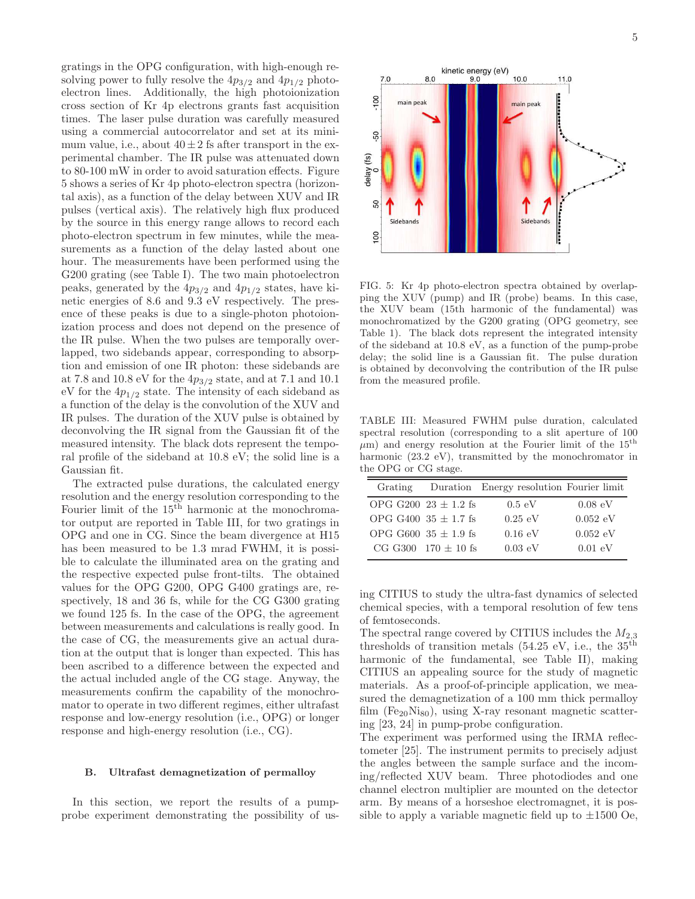gratings in the OPG configuration, with high-enough resolving power to fully resolve the  $4p_{3/2}$  and  $4p_{1/2}$  photoelectron lines. Additionally, the high photoionization cross section of Kr 4p electrons grants fast acquisition times. The laser pulse duration was carefully measured using a commercial autocorrelator and set at its minimum value, i.e., about  $40 \pm 2$  fs after transport in the experimental chamber. The IR pulse was attenuated down to 80-100 mW in order to avoid saturation effects. Figure 5 shows a series of Kr 4p photo-electron spectra (horizontal axis), as a function of the delay between XUV and IR pulses (vertical axis). The relatively high flux produced by the source in this energy range allows to record each photo-electron spectrum in few minutes, while the measurements as a function of the delay lasted about one hour. The measurements have been performed using the G200 grating (see Table I). The two main photoelectron peaks, generated by the  $4p_{3/2}$  and  $4p_{1/2}$  states, have kinetic energies of 8.6 and 9.3 eV respectively. The presence of these peaks is due to a single-photon photoionization process and does not depend on the presence of the IR pulse. When the two pulses are temporally overlapped, two sidebands appear, corresponding to absorption and emission of one IR photon: these sidebands are at 7.8 and 10.8 eV for the  $4p_{3/2}$  state, and at 7.1 and 10.1 eV for the  $4p_{1/2}$  state. The intensity of each sideband as a function of the delay is the convolution of the XUV and IR pulses. The duration of the XUV pulse is obtained by deconvolving the IR signal from the Gaussian fit of the measured intensity. The black dots represent the temporal profile of the sideband at 10.8 eV; the solid line is a Gaussian fit.

The extracted pulse durations, the calculated energy resolution and the energy resolution corresponding to the Fourier limit of the 15<sup>th</sup> harmonic at the monochromator output are reported in Table III, for two gratings in OPG and one in CG. Since the beam divergence at H15 has been measured to be 1.3 mrad FWHM, it is possible to calculate the illuminated area on the grating and the respective expected pulse front-tilts. The obtained values for the OPG G200, OPG G400 gratings are, respectively, 18 and 36 fs, while for the CG G300 grating we found 125 fs. In the case of the OPG, the agreement between measurements and calculations is really good. In the case of CG, the measurements give an actual duration at the output that is longer than expected. This has been ascribed to a difference between the expected and the actual included angle of the CG stage. Anyway, the measurements confirm the capability of the monochromator to operate in two different regimes, either ultrafast response and low-energy resolution (i.e., OPG) or longer response and high-energy resolution (i.e., CG).

## B. Ultrafast demagnetization of permalloy

In this section, we report the results of a pumpprobe experiment demonstrating the possibility of us-



FIG. 5: Kr 4p photo-electron spectra obtained by overlapping the XUV (pump) and IR (probe) beams. In this case, the XUV beam (15th harmonic of the fundamental) was monochromatized by the G200 grating (OPG geometry, see Table 1). The black dots represent the integrated intensity of the sideband at 10.8 eV, as a function of the pump-probe delay; the solid line is a Gaussian fit. The pulse duration is obtained by deconvolving the contribution of the IR pulse from the measured profile.

TABLE III: Measured FWHM pulse duration, calculated spectral resolution (corresponding to a slit aperture of 100  $\mu$ m) and energy resolution at the Fourier limit of the 15<sup>th</sup> harmonic (23.2 eV), transmitted by the monochromator in the OPG or CG stage.

| Grating |                          | Duration Energy resolution Fourier limit |                    |
|---------|--------------------------|------------------------------------------|--------------------|
|         | OPG G200 $23 + 1.2$ fs   | $0.5 \text{ eV}$                         | $0.08 \text{ eV}$  |
|         | OPG G400 $35 + 1.7$ fs   | $0.25 \text{ eV}$                        | $0.052 \text{ eV}$ |
|         | OPG G600 $35 \pm 1.9$ fs | $0.16 \text{ eV}$                        | 0.052 eV           |
|         | $CG$ G300 $170 + 10$ fs  | $0.03$ eV                                | $0.01 \text{ eV}$  |

ing CITIUS to study the ultra-fast dynamics of selected chemical species, with a temporal resolution of few tens of femtoseconds.

The spectral range covered by CITIUS includes the  $M_{2,3}$ thresholds of transition metals  $(54.25 \text{ eV}, \text{ i.e., the } 35^{\text{th}})$ harmonic of the fundamental, see Table II), making CITIUS an appealing source for the study of magnetic materials. As a proof-of-principle application, we measured the demagnetization of a 100 mm thick permalloy film (Fe<sub>20</sub>Ni<sub>80</sub>), using X-ray resonant magnetic scattering [23, 24] in pump-probe configuration.

The experiment was performed using the IRMA reflectometer [25]. The instrument permits to precisely adjust the angles between the sample surface and the incoming/reflected XUV beam. Three photodiodes and one channel electron multiplier are mounted on the detector arm. By means of a horseshoe electromagnet, it is possible to apply a variable magnetic field up to  $\pm 1500$  Oe,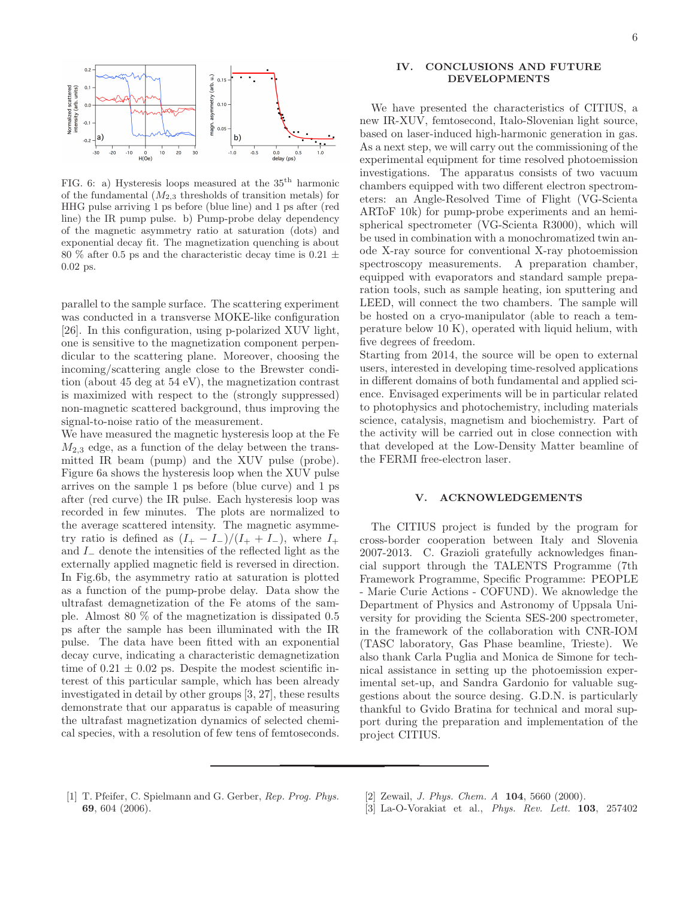

FIG. 6: a) Hysteresis loops measured at the  $35<sup>th</sup>$  harmonic of the fundamental  $(M_{2,3}$  thresholds of transition metals) for HHG pulse arriving 1 ps before (blue line) and 1 ps after (red line) the IR pump pulse. b) Pump-probe delay dependency of the magnetic asymmetry ratio at saturation (dots) and exponential decay fit. The magnetization quenching is about 80 % after 0.5 ps and the characteristic decay time is 0.21  $\pm$ 0.02 ps.

parallel to the sample surface. The scattering experiment was conducted in a transverse MOKE-like configuration [26]. In this configuration, using p-polarized XUV light, one is sensitive to the magnetization component perpendicular to the scattering plane. Moreover, choosing the incoming/scattering angle close to the Brewster condition (about 45 deg at 54 eV), the magnetization contrast is maximized with respect to the (strongly suppressed) non-magnetic scattered background, thus improving the signal-to-noise ratio of the measurement.

We have measured the magnetic hysteresis loop at the Fe  $M_{2,3}$  edge, as a function of the delay between the transmitted IR beam (pump) and the XUV pulse (probe). Figure 6a shows the hysteresis loop when the XUV pulse arrives on the sample 1 ps before (blue curve) and 1 ps after (red curve) the IR pulse. Each hysteresis loop was recorded in few minutes. The plots are normalized to the average scattered intensity. The magnetic asymmetry ratio is defined as  $(I_{+} - I_{-})/(I_{+} + I_{-})$ , where  $I_{+}$ and I<sup>−</sup> denote the intensities of the reflected light as the externally applied magnetic field is reversed in direction. In Fig.6b, the asymmetry ratio at saturation is plotted as a function of the pump-probe delay. Data show the ultrafast demagnetization of the Fe atoms of the sample. Almost 80 % of the magnetization is dissipated 0.5 ps after the sample has been illuminated with the IR pulse. The data have been fitted with an exponential decay curve, indicating a characteristic demagnetization time of  $0.21 \pm 0.02$  ps. Despite the modest scientific interest of this particular sample, which has been already investigated in detail by other groups [3, 27], these results demonstrate that our apparatus is capable of measuring the ultrafast magnetization dynamics of selected chemical species, with a resolution of few tens of femtoseconds.

# IV. CONCLUSIONS AND FUTURE DEVELOPMENTS

We have presented the characteristics of CITIUS, a new IR-XUV, femtosecond, Italo-Slovenian light source, based on laser-induced high-harmonic generation in gas. As a next step, we will carry out the commissioning of the experimental equipment for time resolved photoemission investigations. The apparatus consists of two vacuum chambers equipped with two different electron spectrometers: an Angle-Resolved Time of Flight (VG-Scienta ARToF 10k) for pump-probe experiments and an hemispherical spectrometer (VG-Scienta R3000), which will be used in combination with a monochromatized twin anode X-ray source for conventional X-ray photoemission spectroscopy measurements. A preparation chamber, equipped with evaporators and standard sample preparation tools, such as sample heating, ion sputtering and LEED, will connect the two chambers. The sample will be hosted on a cryo-manipulator (able to reach a temperature below 10 K), operated with liquid helium, with five degrees of freedom.

Starting from 2014, the source will be open to external users, interested in developing time-resolved applications in different domains of both fundamental and applied science. Envisaged experiments will be in particular related to photophysics and photochemistry, including materials science, catalysis, magnetism and biochemistry. Part of the activity will be carried out in close connection with that developed at the Low-Density Matter beamline of the FERMI free-electron laser.

# V. ACKNOWLEDGEMENTS

The CITIUS project is funded by the program for cross-border cooperation between Italy and Slovenia 2007-2013. C. Grazioli gratefully acknowledges financial support through the TALENTS Programme (7th Framework Programme, Specific Programme: PEOPLE - Marie Curie Actions - COFUND). We aknowledge the Department of Physics and Astronomy of Uppsala University for providing the Scienta SES-200 spectrometer, in the framework of the collaboration with CNR-IOM (TASC laboratory, Gas Phase beamline, Trieste). We also thank Carla Puglia and Monica de Simone for technical assistance in setting up the photoemission experimental set-up, and Sandra Gardonio for valuable suggestions about the source desing. G.D.N. is particularly thankful to Gvido Bratina for technical and moral support during the preparation and implementation of the project CITIUS.

- [1] T. Pfeifer, C. Spielmann and G. Gerber, Rep. Prog. Phys. 69, 604 (2006).
- [2] Zewail, *J. Phys. Chem. A*  $104$ , 5660 (2000).
- [3] La-O-Vorakiat et al., Phys. Rev. Lett. 103, 257402